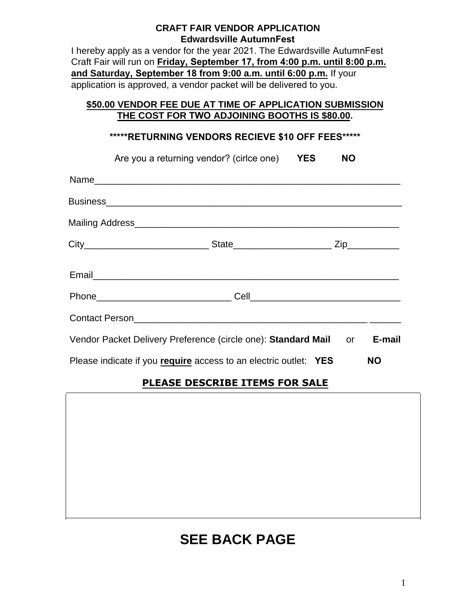### **CRAFT FAIR VENDOR APPLICATION Edwardsville AutumnFest**

I hereby apply as a vendor for the year 2021. The Edwardsville AutumnFest Craft Fair will run on **Friday, September 17, from 4:00 p.m. until 8:00 p.m. and Saturday, September 18 from 9:00 a.m. until 6:00 p.m.** If your application is approved, a vendor packet will be delivered to you.

## **\$50.00 VENDOR FEE DUE AT TIME OF APPLICATION SUBMISSION THE COST FOR TWO ADJOINING BOOTHS IS \$80.00.**

### **\*\*\*\*\*RETURNING VENDORS RECIEVE \$10 OFF FEES\*\*\*\*\***

|      | Are you a returning vendor? (cirice one) | <b>YES</b> |  |
|------|------------------------------------------|------------|--|
| Name |                                          |            |  |

| <b>Business</b>  |              |  |
|------------------|--------------|--|
| Mailing Address_ |              |  |
| City             | <b>State</b> |  |

| <b>Execute</b><br>----- |  |  |
|-------------------------|--|--|

| DL.<br>$\n  n$                                  |     |
|-------------------------------------------------|-----|
| E.<br>$\sim$ $\sim$ $\sim$ $\sim$ $\sim$ $\sim$ | ושי |

| <b>Contact Person</b>                                         |      |        |
|---------------------------------------------------------------|------|--------|
| Vendor Packet Delivery Preference (circle one): Standard Mail | n or | E-mail |

Please indicate if you **require** access to an electric outlet: **YES NO**

# **PLEASE DESCRIBE ITEMS FOR SALE**



# **SEE BACK PAGE**